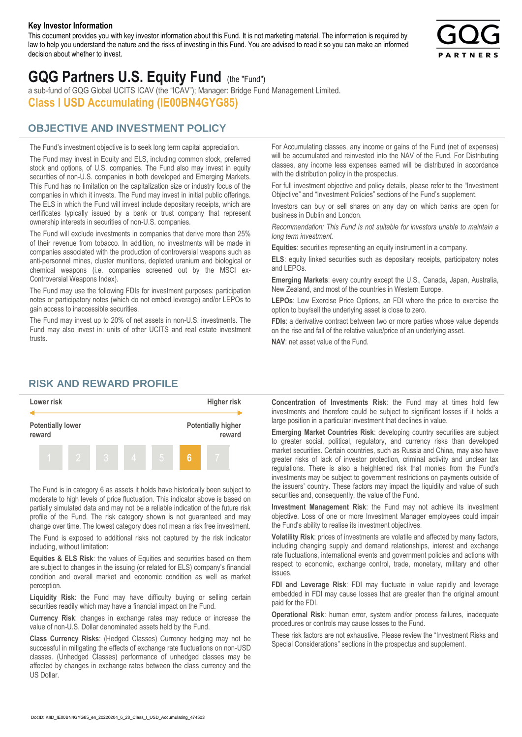#### **Key Investor Information**

This document provides you with key investor information about this Fund. It is not marketing material. The information is required by law to help you understand the nature and the risks of investing in this Fund. You are advised to read it so you can make an informed decision about whether to invest.



# **GQG Partners U.S. Equity Fund** (the "Fund")

a sub-fund of GQG Global UCITS ICAV (the "ICAV"); Manager: Bridge Fund Management Limited. **Class I USD Accumulating (IE00BN4GYG85)**

### **OBJECTIVE AND INVESTMENT POLICY**

The Fund's investment objective is to seek long term capital appreciation. The Fund may invest in Equity and ELS, including common stock, preferred stock and options, of U.S. companies. The Fund also may invest in equity securities of non-U.S. companies in both developed and Emerging Markets. This Fund has no limitation on the capitalization size or industry focus of the companies in which it invests. The Fund may invest in initial public offerings. The ELS in which the Fund will invest include depositary receipts, which are certificates typically issued by a bank or trust company that represent ownership interests in securities of non-U.S. companies.

The Fund will exclude investments in companies that derive more than 25% of their revenue from tobacco. In addition, no investments will be made in companies associated with the production of controversial weapons such as anti-personnel mines, cluster munitions, depleted uranium and biological or chemical weapons (i.e. companies screened out by the MSCI ex-Controversial Weapons Index).

The Fund may use the following FDIs for investment purposes: participation notes or participatory notes (which do not embed leverage) and/or LEPOs to gain access to inaccessible securities.

The Fund may invest up to 20% of net assets in non-U.S. investments. The Fund may also invest in: units of other UCITS and real estate investment trusts.

For Accumulating classes, any income or gains of the Fund (net of expenses) will be accumulated and reinvested into the NAV of the Fund. For Distributing classes, any income less expenses earned will be distributed in accordance with the distribution policy in the prospectus.

For full investment objective and policy details, please refer to the "Investment Objective" and "Investment Policies" sections of the Fund's supplement.

Investors can buy or sell shares on any day on which banks are open for business in Dublin and London.

*Recommendation: This Fund is not suitable for investors unable to maintain a long term investment.*

**Equities**: securities representing an equity instrument in a company.

**ELS**: equity linked securities such as depositary receipts, participatory notes and LEPOs.

**Emerging Markets**: every country except the U.S., Canada, Japan, Australia, New Zealand, and most of the countries in Western Europe.

**LEPOs**: Low Exercise Price Options, an FDI where the price to exercise the option to buy/sell the underlying asset is close to zero.

**FDIs**: a derivative contract between two or more parties whose value depends on the rise and fall of the relative value/price of an underlying asset.

**NAV**: net asset value of the Fund.

#### **RISK AND REWARD PROFILE**



The Fund is in category 6 as assets it holds have historically been subject to moderate to high levels of price fluctuation. This indicator above is based on partially simulated data and may not be a reliable indication of the future risk profile of the Fund. The risk category shown is not guaranteed and may change over time. The lowest category does not mean a risk free investment.

The Fund is exposed to additional risks not captured by the risk indicator including, without limitation:

**Equities & ELS Risk**: the values of Equities and securities based on them are subject to changes in the issuing (or related for ELS) company's financial condition and overall market and economic condition as well as market perception.

**Liquidity Risk**: the Fund may have difficulty buying or selling certain securities readily which may have a financial impact on the Fund.

**Currency Risk**: changes in exchange rates may reduce or increase the value of non-U.S. Dollar denominated assets held by the Fund.

**Class Currency Risks**: (Hedged Classes) Currency hedging may not be successful in mitigating the effects of exchange rate fluctuations on non-USD classes. (Unhedged Classes) performance of unhedged classes may be affected by changes in exchange rates between the class currency and the US Dollar.

**Concentration of Investments Risk**: the Fund may at times hold few investments and therefore could be subject to significant losses if it holds a large position in a particular investment that declines in value.

**Emerging Market Countries Risk**: developing country securities are subject to greater social, political, regulatory, and currency risks than developed market securities. Certain countries, such as Russia and China, may also have greater risks of lack of investor protection, criminal activity and unclear tax regulations. There is also a heightened risk that monies from the Fund's investments may be subject to government restrictions on payments outside of the issuers' country. These factors may impact the liquidity and value of such securities and, consequently, the value of the Fund.

**Investment Management Risk**: the Fund may not achieve its investment objective. Loss of one or more Investment Manager employees could impair the Fund's ability to realise its investment objectives.

**Volatility Risk**: prices of investments are volatile and affected by many factors, including changing supply and demand relationships, interest and exchange rate fluctuations, international events and government policies and actions with respect to economic, exchange control, trade, monetary, military and other issues.

**FDI and Leverage Risk**: FDI may fluctuate in value rapidly and leverage embedded in FDI may cause losses that are greater than the original amount paid for the FDI.

**Operational Risk**: human error, system and/or process failures, inadequate procedures or controls may cause losses to the Fund.

These risk factors are not exhaustive. Please review the "Investment Risks and Special Considerations" sections in the prospectus and supplement.